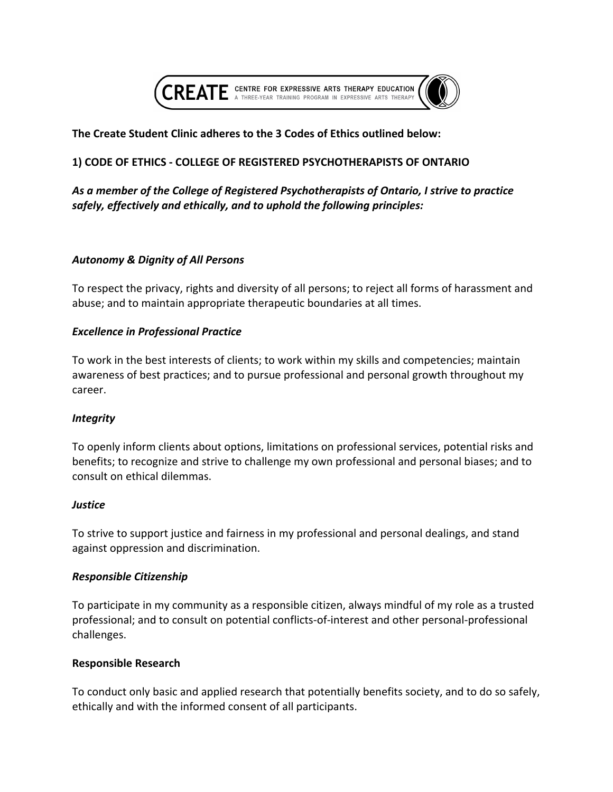

# **The Create Student Clinic adheres to the 3 Codes of Ethics outlined below:**

# **1) CODE OF ETHICS - COLLEGE OF REGISTERED PSYCHOTHERAPISTS OF ONTARIO**

# As a member of the College of Registered Psychotherapists of Ontario, I strive to practice safely, effectively and ethically, and to uphold the following principles:

# *Autonomy & Dignity of All Persons*

To respect the privacy, rights and diversity of all persons; to reject all forms of harassment and abuse; and to maintain appropriate therapeutic boundaries at all times.

### **Excellence in Professional Practice**

To work in the best interests of clients; to work within my skills and competencies; maintain awareness of best practices; and to pursue professional and personal growth throughout my career. 

# *Integrity*

To openly inform clients about options, limitations on professional services, potential risks and benefits; to recognize and strive to challenge my own professional and personal biases; and to consult on ethical dilemmas.

### *Justice*

To strive to support justice and fairness in my professional and personal dealings, and stand against oppression and discrimination.

### *Responsible Citizenship*

To participate in my community as a responsible citizen, always mindful of my role as a trusted professional; and to consult on potential conflicts-of-interest and other personal-professional challenges. 

### **Responsible Research**

To conduct only basic and applied research that potentially benefits society, and to do so safely, ethically and with the informed consent of all participants.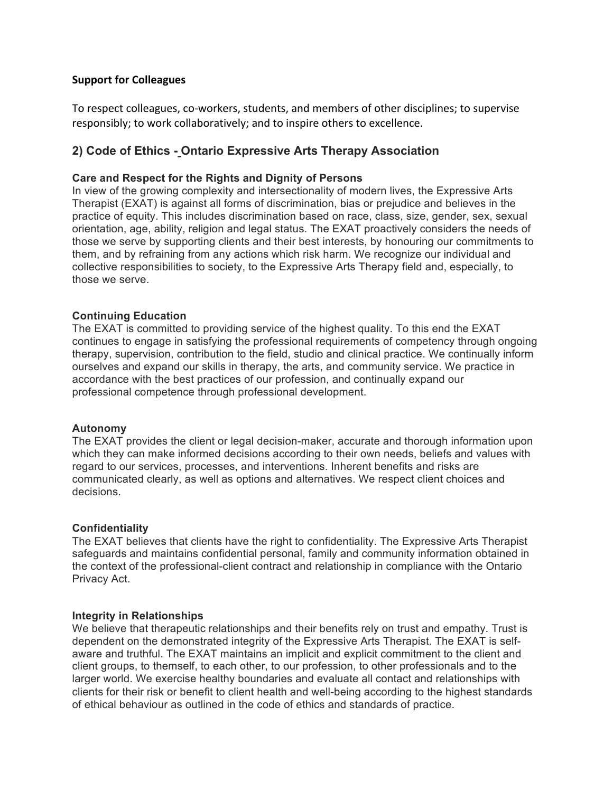# **Support for Colleagues**

To respect colleagues, co-workers, students, and members of other disciplines; to supervise responsibly; to work collaboratively; and to inspire others to excellence.

# **2) Code of Ethics - Ontario Expressive Arts Therapy Association**

### **Care and Respect for the Rights and Dignity of Persons**

In view of the growing complexity and intersectionality of modern lives, the Expressive Arts Therapist (EXAT) is against all forms of discrimination, bias or prejudice and believes in the practice of equity. This includes discrimination based on race, class, size, gender, sex, sexual orientation, age, ability, religion and legal status. The EXAT proactively considers the needs of those we serve by supporting clients and their best interests, by honouring our commitments to them, and by refraining from any actions which risk harm. We recognize our individual and collective responsibilities to society, to the Expressive Arts Therapy field and, especially, to those we serve.

### **Continuing Education**

The EXAT is committed to providing service of the highest quality. To this end the EXAT continues to engage in satisfying the professional requirements of competency through ongoing therapy, supervision, contribution to the field, studio and clinical practice. We continually inform ourselves and expand our skills in therapy, the arts, and community service. We practice in accordance with the best practices of our profession, and continually expand our professional competence through professional development.

### **Autonomy**

The EXAT provides the client or legal decision-maker, accurate and thorough information upon which they can make informed decisions according to their own needs, beliefs and values with regard to our services, processes, and interventions. Inherent benefits and risks are communicated clearly, as well as options and alternatives. We respect client choices and decisions.

### **Confidentiality**

The EXAT believes that clients have the right to confidentiality. The Expressive Arts Therapist safeguards and maintains confidential personal, family and community information obtained in the context of the professional-client contract and relationship in compliance with the Ontario Privacy Act.

### **Integrity in Relationships**

We believe that therapeutic relationships and their benefits rely on trust and empathy. Trust is dependent on the demonstrated integrity of the Expressive Arts Therapist. The EXAT is selfaware and truthful. The EXAT maintains an implicit and explicit commitment to the client and client groups, to themself, to each other, to our profession, to other professionals and to the larger world. We exercise healthy boundaries and evaluate all contact and relationships with clients for their risk or benefit to client health and well-being according to the highest standards of ethical behaviour as outlined in the code of ethics and standards of practice.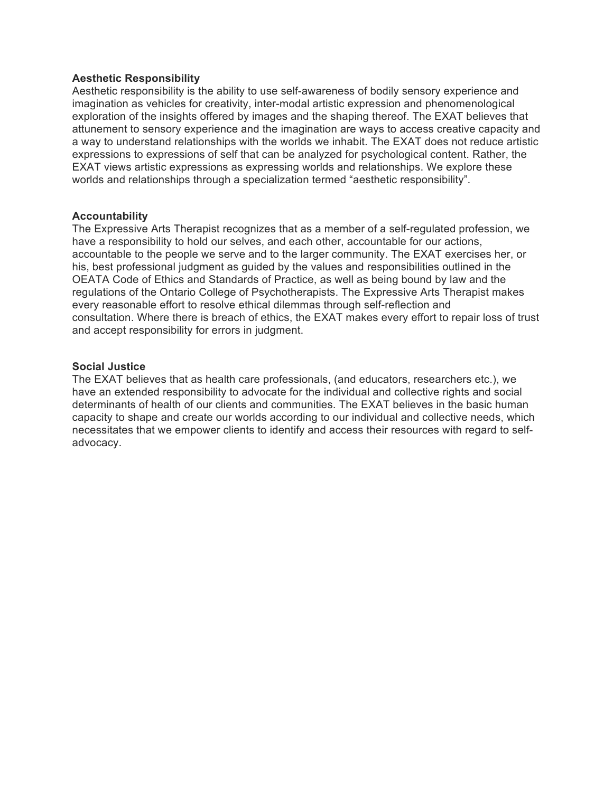### **Aesthetic Responsibility**

Aesthetic responsibility is the ability to use self-awareness of bodily sensory experience and imagination as vehicles for creativity, inter-modal artistic expression and phenomenological exploration of the insights offered by images and the shaping thereof. The EXAT believes that attunement to sensory experience and the imagination are ways to access creative capacity and a way to understand relationships with the worlds we inhabit. The EXAT does not reduce artistic expressions to expressions of self that can be analyzed for psychological content. Rather, the EXAT views artistic expressions as expressing worlds and relationships. We explore these worlds and relationships through a specialization termed "aesthetic responsibility".

### **Accountability**

The Expressive Arts Therapist recognizes that as a member of a self-regulated profession, we have a responsibility to hold our selves, and each other, accountable for our actions, accountable to the people we serve and to the larger community. The EXAT exercises her, or his, best professional judgment as guided by the values and responsibilities outlined in the OEATA Code of Ethics and Standards of Practice, as well as being bound by law and the regulations of the Ontario College of Psychotherapists. The Expressive Arts Therapist makes every reasonable effort to resolve ethical dilemmas through self-reflection and consultation. Where there is breach of ethics, the EXAT makes every effort to repair loss of trust and accept responsibility for errors in judgment.

### **Social Justice**

The EXAT believes that as health care professionals, (and educators, researchers etc.), we have an extended responsibility to advocate for the individual and collective rights and social determinants of health of our clients and communities. The EXAT believes in the basic human capacity to shape and create our worlds according to our individual and collective needs, which necessitates that we empower clients to identify and access their resources with regard to selfadvocacy.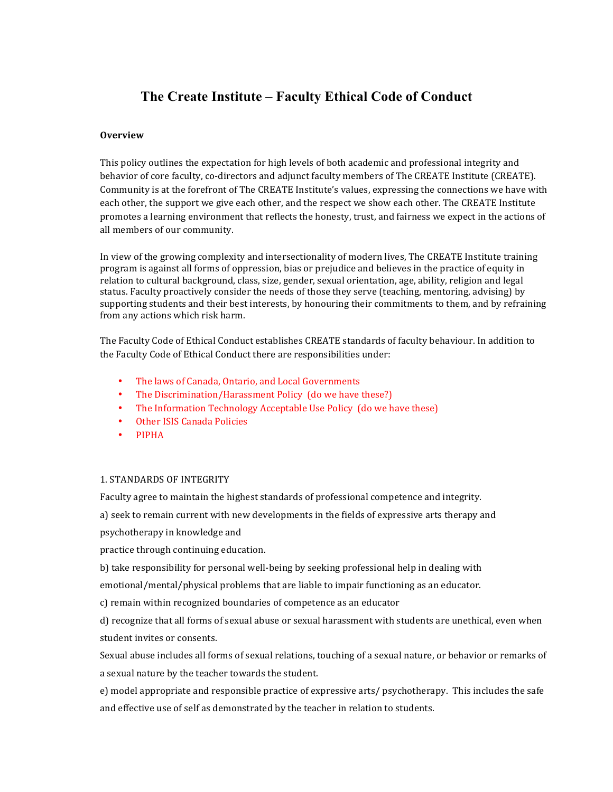# **The Create Institute – Faculty Ethical Code of Conduct**

#### **Overview**

This policy outlines the expectation for high levels of both academic and professional integrity and behavior of core faculty, co-directors and adjunct faculty members of The CREATE Institute (CREATE). Community is at the forefront of The CREATE Institute's values, expressing the connections we have with each other, the support we give each other, and the respect we show each other. The CREATE Institute promotes a learning environment that reflects the honesty, trust, and fairness we expect in the actions of all members of our community.

In view of the growing complexity and intersectionality of modern lives, The CREATE Institute training program is against all forms of oppression, bias or prejudice and believes in the practice of equity in relation to cultural background, class, size, gender, sexual orientation, age, ability, religion and legal status. Faculty proactively consider the needs of those they serve (teaching, mentoring, advising) by supporting students and their best interests, by honouring their commitments to them, and by refraining from any actions which risk harm.

The Faculty Code of Ethical Conduct establishes CREATE standards of faculty behaviour. In addition to the Faculty Code of Ethical Conduct there are responsibilities under:

- The laws of Canada, Ontario, and Local Governments
- The Discrimination/Harassment Policy (do we have these?)
- The Information Technology Acceptable Use Policy (do we have these)
- **Other ISIS Canada Policies**
- PIPHA

#### 1. STANDARDS OF INTEGRITY

Faculty agree to maintain the highest standards of professional competence and integrity.

a) seek to remain current with new developments in the fields of expressive arts therapy and

psychotherapy in knowledge and

practice through continuing education.

b) take responsibility for personal well-being by seeking professional help in dealing with

emotional/mental/physical problems that are liable to impair functioning as an educator.

c) remain within recognized boundaries of competence as an educator

d) recognize that all forms of sexual abuse or sexual harassment with students are unethical, even when student invites or consents.

Sexual abuse includes all forms of sexual relations, touching of a sexual nature, or behavior or remarks of a sexual nature by the teacher towards the student.

e) model appropriate and responsible practice of expressive arts/ psychotherapy. This includes the safe and effective use of self as demonstrated by the teacher in relation to students.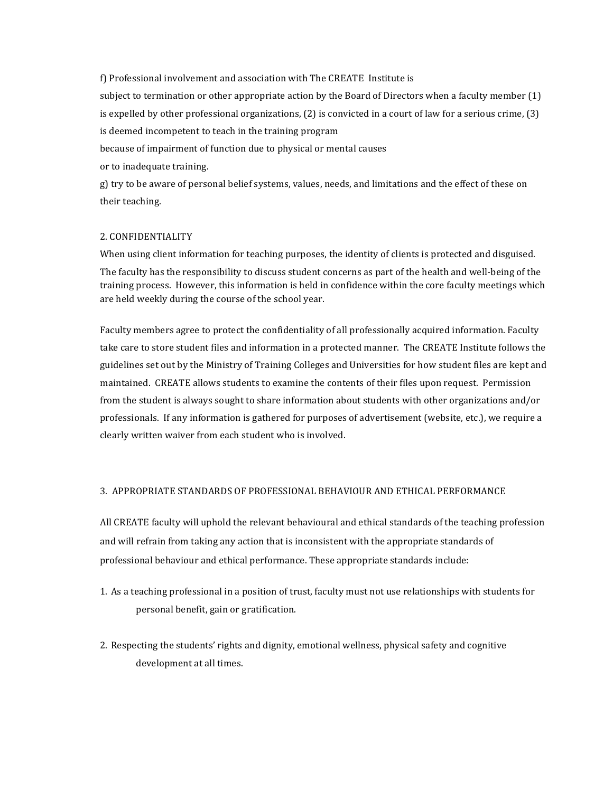f) Professional involvement and association with The CREATE Institute is subject to termination or other appropriate action by the Board of Directors when a faculty member  $(1)$ is expelled by other professional organizations,  $(2)$  is convicted in a court of law for a serious crime,  $(3)$ is deemed incompetent to teach in the training program because of impairment of function due to physical or mental causes or to inadequate training.

g) try to be aware of personal belief systems, values, needs, and limitations and the effect of these on their teaching.

### 2. CONFIDENTIALITY

When using client information for teaching purposes, the identity of clients is protected and disguised.

The faculty has the responsibility to discuss student concerns as part of the health and well-being of the training process. However, this information is held in confidence within the core faculty meetings which are held weekly during the course of the school year.

Faculty members agree to protect the confidentiality of all professionally acquired information. Faculty take care to store student files and information in a protected manner. The CREATE Institute follows the guidelines set out by the Ministry of Training Colleges and Universities for how student files are kept and maintained. CREATE allows students to examine the contents of their files upon request. Permission from the student is always sought to share information about students with other organizations and/or professionals. If any information is gathered for purposes of advertisement (website, etc.), we require a clearly written waiver from each student who is involved.

#### 3. APPROPRIATE STANDARDS OF PROFESSIONAL BEHAVIOUR AND ETHICAL PERFORMANCE

All CREATE faculty will uphold the relevant behavioural and ethical standards of the teaching profession and will refrain from taking any action that is inconsistent with the appropriate standards of professional behaviour and ethical performance. These appropriate standards include:

- 1. As a teaching professional in a position of trust, faculty must not use relationships with students for personal benefit, gain or gratification.
- 2. Respecting the students' rights and dignity, emotional wellness, physical safety and cognitive development at all times.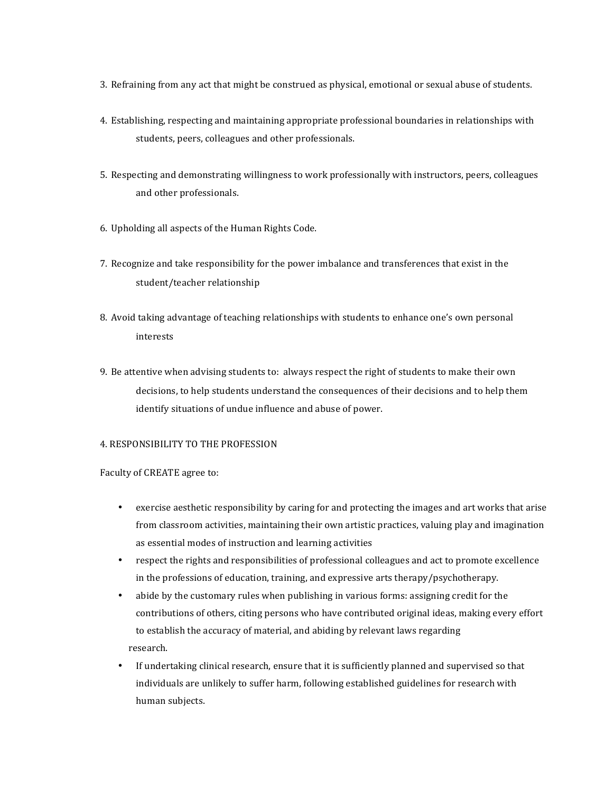- 3. Refraining from any act that might be construed as physical, emotional or sexual abuse of students.
- 4. Establishing, respecting and maintaining appropriate professional boundaries in relationships with students, peers, colleagues and other professionals.
- 5. Respecting and demonstrating willingness to work professionally with instructors, peers, colleagues and other professionals.
- 6. Upholding all aspects of the Human Rights Code.
- 7. Recognize and take responsibility for the power imbalance and transferences that exist in the student/teacher relationship
- 8. Avoid taking advantage of teaching relationships with students to enhance one's own personal interests
- 9. Be attentive when advising students to: always respect the right of students to make their own decisions, to help students understand the consequences of their decisions and to help them identify situations of undue influence and abuse of power.

#### 4. RESPONSIBILITY TO THE PROFESSION

#### Faculty of CREATE agree to:

- exercise aesthetic responsibility by caring for and protecting the images and art works that arise from classroom activities, maintaining their own artistic practices, valuing play and imagination as essential modes of instruction and learning activities
- respect the rights and responsibilities of professional colleagues and act to promote excellence in the professions of education, training, and expressive arts therapy/psychotherapy.
- abide by the customary rules when publishing in various forms: assigning credit for the contributions of others, citing persons who have contributed original ideas, making every effort to establish the accuracy of material, and abiding by relevant laws regarding research.
- If undertaking clinical research, ensure that it is sufficiently planned and supervised so that individuals are unlikely to suffer harm, following established guidelines for research with human subjects.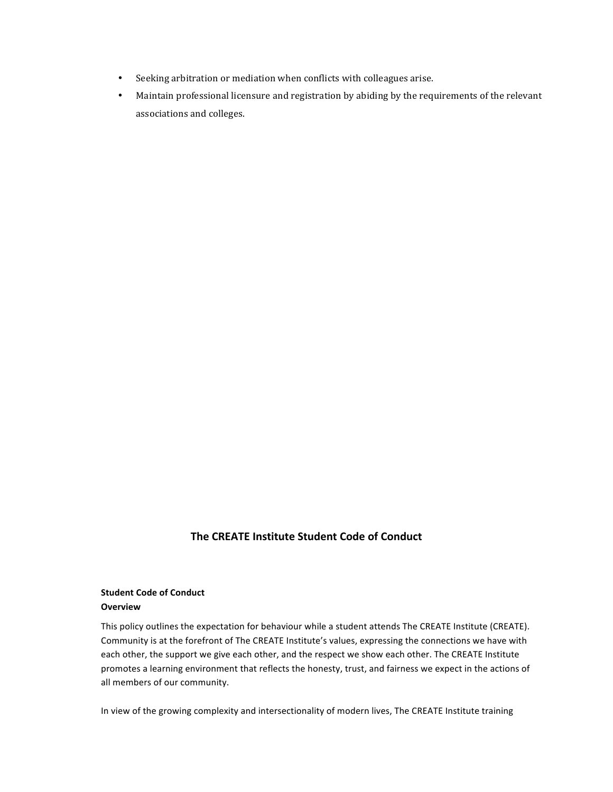- Seeking arbitration or mediation when conflicts with colleagues arise.
- Maintain professional licensure and registration by abiding by the requirements of the relevant associations and colleges.

### **The CREATE Institute Student Code of Conduct**

#### **Student Code of Conduct Overview**

This policy outlines the expectation for behaviour while a student attends The CREATE Institute (CREATE). Community is at the forefront of The CREATE Institute's values, expressing the connections we have with each other, the support we give each other, and the respect we show each other. The CREATE Institute promotes a learning environment that reflects the honesty, trust, and fairness we expect in the actions of all members of our community.

In view of the growing complexity and intersectionality of modern lives, The CREATE Institute training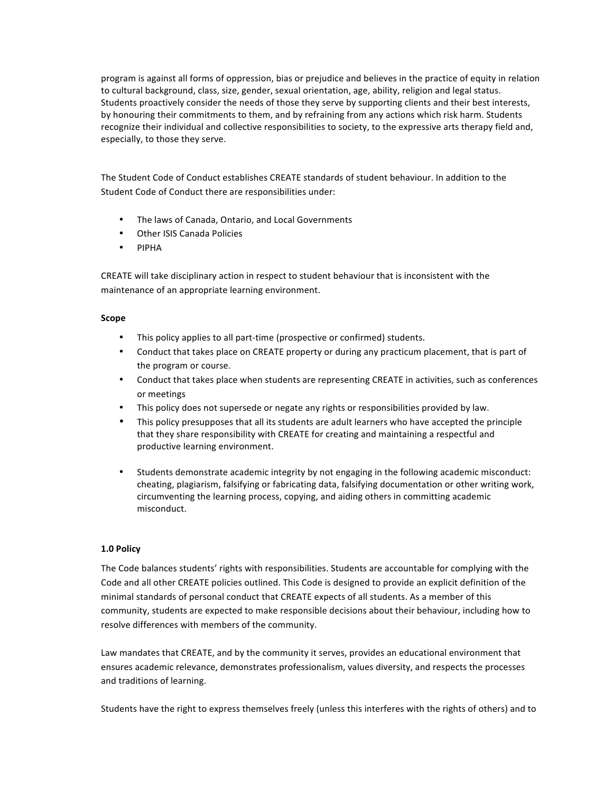program is against all forms of oppression, bias or prejudice and believes in the practice of equity in relation to cultural background, class, size, gender, sexual orientation, age, ability, religion and legal status. Students proactively consider the needs of those they serve by supporting clients and their best interests, by honouring their commitments to them, and by refraining from any actions which risk harm. Students recognize their individual and collective responsibilities to society, to the expressive arts therapy field and, especially, to those they serve.

The Student Code of Conduct establishes CREATE standards of student behaviour. In addition to the Student Code of Conduct there are responsibilities under:

- The laws of Canada, Ontario, and Local Governments
- **Other ISIS Canada Policies**
- PIPHA

CREATE will take disciplinary action in respect to student behaviour that is inconsistent with the maintenance of an appropriate learning environment.

#### **Scope**

- This policy applies to all part-time (prospective or confirmed) students.
- Conduct that takes place on CREATE property or during any practicum placement, that is part of the program or course.
- Conduct that takes place when students are representing CREATE in activities, such as conferences or meetings
- This policy does not supersede or negate any rights or responsibilities provided by law.
- This policy presupposes that all its students are adult learners who have accepted the principle that they share responsibility with CREATE for creating and maintaining a respectful and productive learning environment.
- Students demonstrate academic integrity by not engaging in the following academic misconduct: cheating, plagiarism, falsifying or fabricating data, falsifying documentation or other writing work, circumventing the learning process, copying, and aiding others in committing academic misconduct.

#### **1.0 Policy**

The Code balances students' rights with responsibilities. Students are accountable for complying with the Code and all other CREATE policies outlined. This Code is designed to provide an explicit definition of the minimal standards of personal conduct that CREATE expects of all students. As a member of this community, students are expected to make responsible decisions about their behaviour, including how to resolve differences with members of the community.

Law mandates that CREATE, and by the community it serves, provides an educational environment that ensures academic relevance, demonstrates professionalism, values diversity, and respects the processes and traditions of learning.

Students have the right to express themselves freely (unless this interferes with the rights of others) and to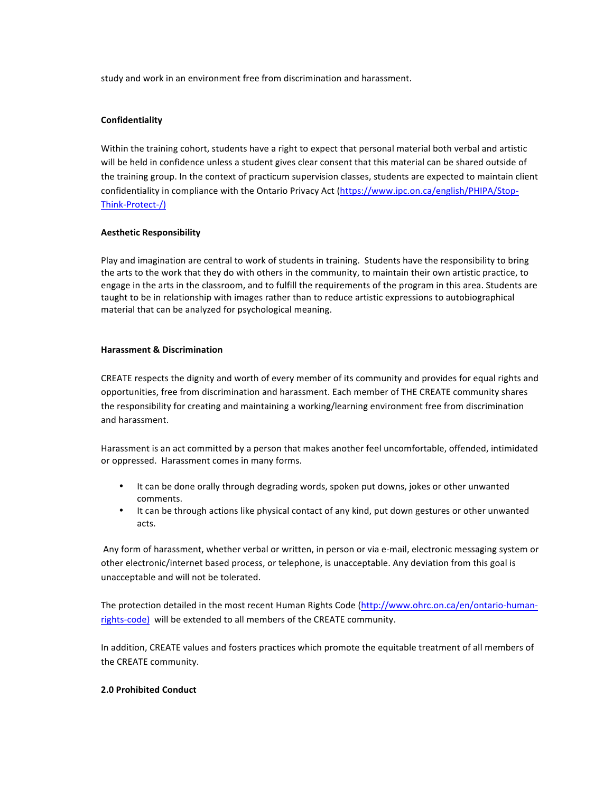study and work in an environment free from discrimination and harassment.

#### **Confidentiality**

Within the training cohort, students have a right to expect that personal material both verbal and artistic will be held in confidence unless a student gives clear consent that this material can be shared outside of the training group. In the context of practicum supervision classes, students are expected to maintain client confidentiality in compliance with the Ontario Privacy Act (https://www.ipc.on.ca/english/PHIPA/Stop-Think-Protect-/)

#### **Aesthetic Responsibility**

Play and imagination are central to work of students in training. Students have the responsibility to bring the arts to the work that they do with others in the community, to maintain their own artistic practice, to engage in the arts in the classroom, and to fulfill the requirements of the program in this area. Students are taught to be in relationship with images rather than to reduce artistic expressions to autobiographical material that can be analyzed for psychological meaning.

#### **Harassment & Discrimination**

CREATE respects the dignity and worth of every member of its community and provides for equal rights and opportunities, free from discrimination and harassment. Each member of THE CREATE community shares the responsibility for creating and maintaining a working/learning environment free from discrimination and harassment.

Harassment is an act committed by a person that makes another feel uncomfortable, offended, intimidated or oppressed. Harassment comes in many forms.

- It can be done orally through degrading words, spoken put downs, jokes or other unwanted comments.
- It can be through actions like physical contact of any kind, put down gestures or other unwanted acts.

Any form of harassment, whether verbal or written, in person or via e-mail, electronic messaging system or other electronic/internet based process, or telephone, is unacceptable. Any deviation from this goal is unacceptable and will not be tolerated.

The protection detailed in the most recent Human Rights Code (http://www.ohrc.on.ca/en/ontario-humanrights-code) will be extended to all members of the CREATE community.

In addition, CREATE values and fosters practices which promote the equitable treatment of all members of the CREATE community.

#### **2.0 Prohibited Conduct**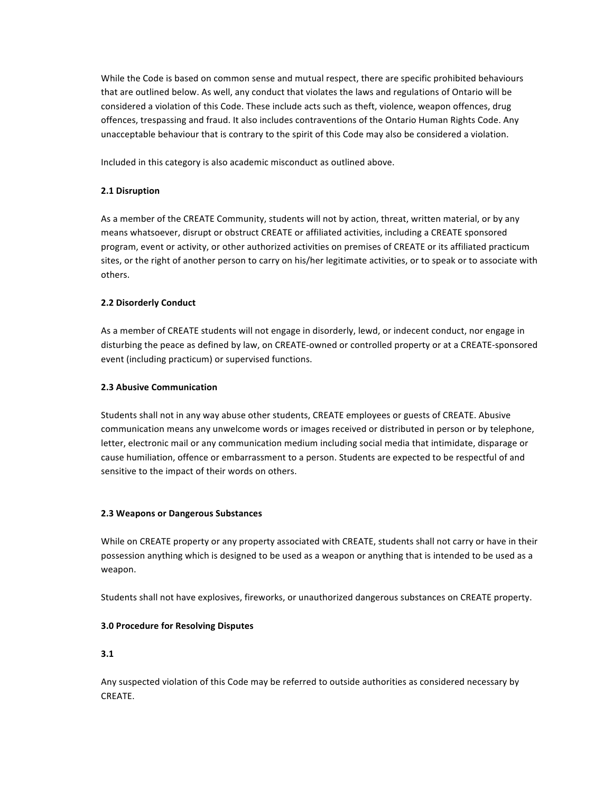While the Code is based on common sense and mutual respect, there are specific prohibited behaviours that are outlined below. As well, any conduct that violates the laws and regulations of Ontario will be considered a violation of this Code. These include acts such as theft, violence, weapon offences, drug offences, trespassing and fraud. It also includes contraventions of the Ontario Human Rights Code. Any unacceptable behaviour that is contrary to the spirit of this Code may also be considered a violation.

Included in this category is also academic misconduct as outlined above.

#### **2.1 Disruption**

As a member of the CREATE Community, students will not by action, threat, written material, or by any means whatsoever, disrupt or obstruct CREATE or affiliated activities, including a CREATE sponsored program, event or activity, or other authorized activities on premises of CREATE or its affiliated practicum sites, or the right of another person to carry on his/her legitimate activities, or to speak or to associate with others. 

#### **2.2 Disorderly Conduct**

As a member of CREATE students will not engage in disorderly, lewd, or indecent conduct, nor engage in disturbing the peace as defined by law, on CREATE-owned or controlled property or at a CREATE-sponsored event (including practicum) or supervised functions.

#### **2.3 Abusive Communication**

Students shall not in any way abuse other students, CREATE employees or guests of CREATE. Abusive communication means any unwelcome words or images received or distributed in person or by telephone, letter, electronic mail or any communication medium including social media that intimidate, disparage or cause humiliation, offence or embarrassment to a person. Students are expected to be respectful of and sensitive to the impact of their words on others.

#### **2.3 Weapons or Dangerous Substances**

While on CREATE property or any property associated with CREATE, students shall not carry or have in their possession anything which is designed to be used as a weapon or anything that is intended to be used as a weapon.

Students shall not have explosives, fireworks, or unauthorized dangerous substances on CREATE property.

#### **3.0 Procedure for Resolving Disputes**

#### **3.1**

Any suspected violation of this Code may be referred to outside authorities as considered necessary by CREATE.